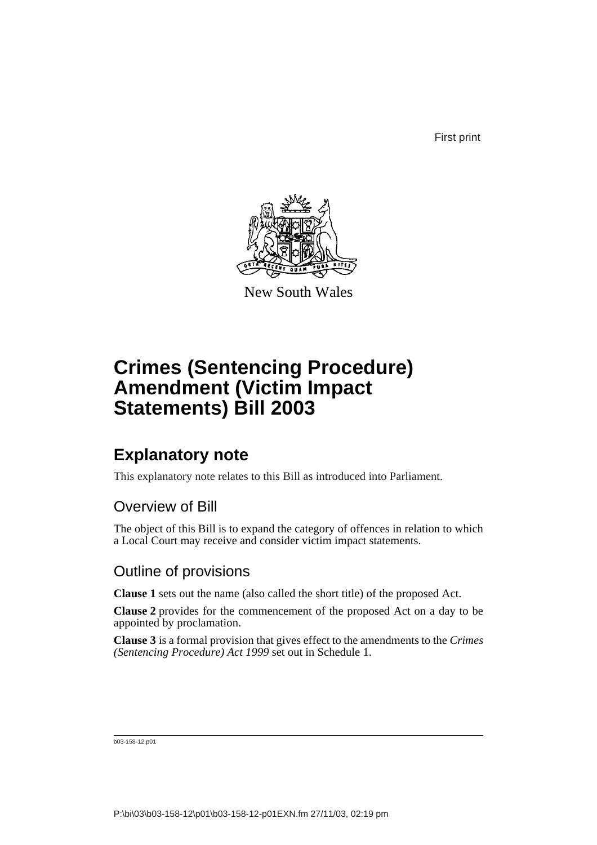First print



New South Wales

# **Crimes (Sentencing Procedure) Amendment (Victim Impact Statements) Bill 2003**

## **Explanatory note**

This explanatory note relates to this Bill as introduced into Parliament.

### Overview of Bill

The object of this Bill is to expand the category of offences in relation to which a Local Court may receive and consider victim impact statements.

### Outline of provisions

**Clause 1** sets out the name (also called the short title) of the proposed Act.

**Clause 2** provides for the commencement of the proposed Act on a day to be appointed by proclamation.

**Clause 3** is a formal provision that gives effect to the amendments to the *Crimes (Sentencing Procedure) Act 1999* set out in Schedule 1.

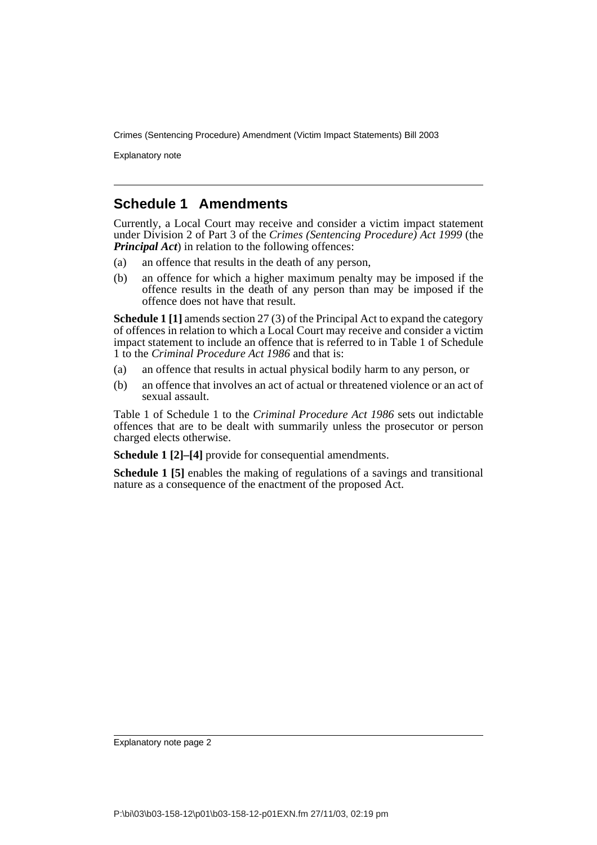Explanatory note

### **Schedule 1 Amendments**

Currently, a Local Court may receive and consider a victim impact statement under Division 2 of Part 3 of the *Crimes (Sentencing Procedure) Act 1999* (the *Principal Act*) in relation to the following offences:

- (a) an offence that results in the death of any person,
- (b) an offence for which a higher maximum penalty may be imposed if the offence results in the death of any person than may be imposed if the offence does not have that result.

**Schedule 1 [1]** amends section 27 (3) of the Principal Act to expand the category of offences in relation to which a Local Court may receive and consider a victim impact statement to include an offence that is referred to in Table 1 of Schedule 1 to the *Criminal Procedure Act 1986* and that is:

- (a) an offence that results in actual physical bodily harm to any person, or
- (b) an offence that involves an act of actual or threatened violence or an act of sexual assault.

Table 1 of Schedule 1 to the *Criminal Procedure Act 1986* sets out indictable offences that are to be dealt with summarily unless the prosecutor or person charged elects otherwise.

**Schedule 1 [2]–[4]** provide for consequential amendments.

**Schedule 1 [5]** enables the making of regulations of a savings and transitional nature as a consequence of the enactment of the proposed Act.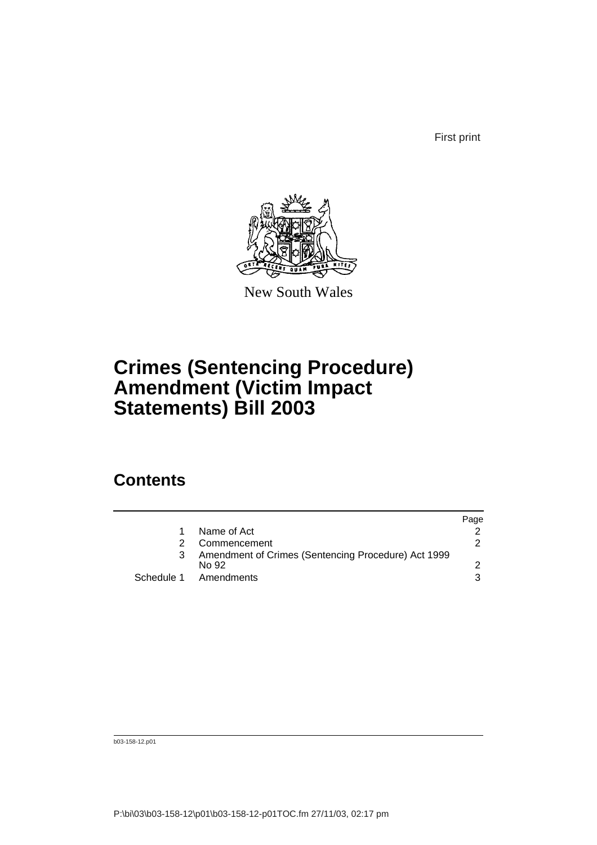First print



New South Wales

# **Crimes (Sentencing Procedure) Amendment (Victim Impact Statements) Bill 2003**

## **Contents**

|                                                              | Page          |
|--------------------------------------------------------------|---------------|
| Name of Act                                                  |               |
| Commencement                                                 | $\mathcal{P}$ |
| Amendment of Crimes (Sentencing Procedure) Act 1999<br>No 92 |               |
| Schedule 1 Amendments                                        | 3             |
|                                                              |               |

b03-158-12.p01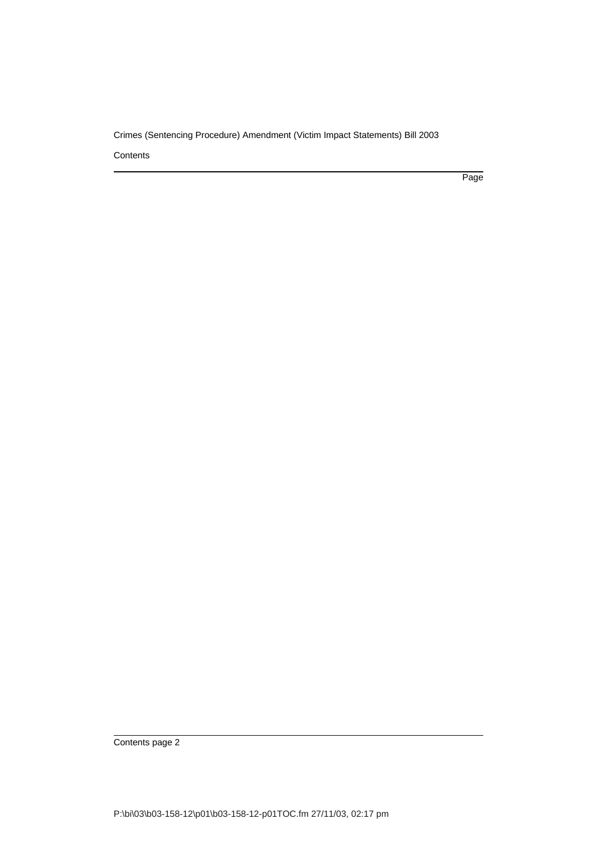**Contents** 

Page

Contents page 2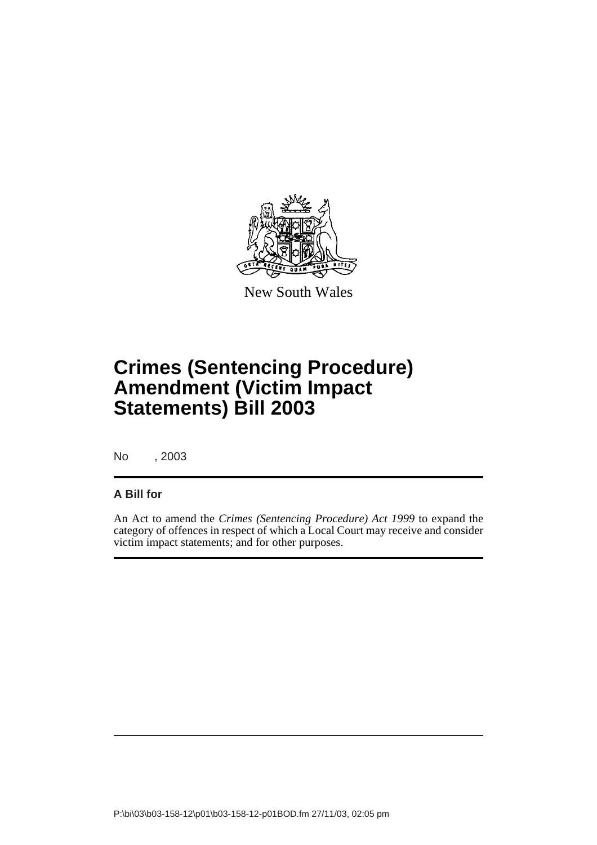

New South Wales

# **Crimes (Sentencing Procedure) Amendment (Victim Impact Statements) Bill 2003**

No , 2003

#### **A Bill for**

An Act to amend the *Crimes (Sentencing Procedure) Act 1999* to expand the category of offences in respect of which a Local Court may receive and consider victim impact statements; and for other purposes.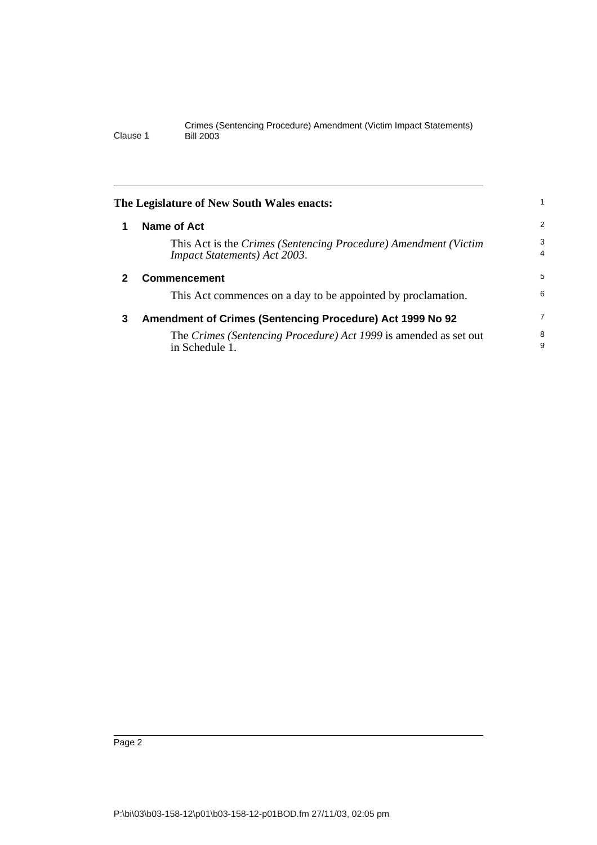<span id="page-5-2"></span><span id="page-5-1"></span><span id="page-5-0"></span>

|   | The Legislature of New South Wales enacts:                                                              |                     |
|---|---------------------------------------------------------------------------------------------------------|---------------------|
|   | Name of Act                                                                                             | 2                   |
|   | This Act is the Crimes (Sentencing Procedure) Amendment (Victim<br><b>Impact Statements</b> ) Act 2003. | 3<br>$\overline{4}$ |
| 2 | <b>Commencement</b>                                                                                     | 5                   |
|   | This Act commences on a day to be appointed by proclamation.                                            | 6                   |
| 3 | Amendment of Crimes (Sentencing Procedure) Act 1999 No 92                                               | 7                   |
|   | The Crimes (Sentencing Procedure) Act 1999 is amended as set out<br>in Schedule 1.                      | 8<br>9              |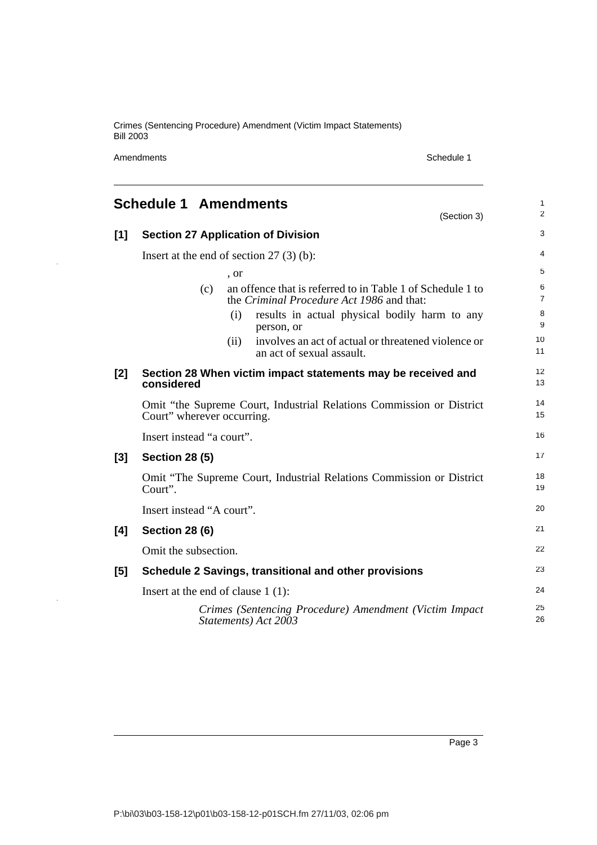Amendments Schedule 1

l.

 $\ddot{\phantom{a}}$ 

<span id="page-6-0"></span>

|     | <b>Schedule 1 Amendments</b><br>(Section 3)                                                                    | $\mathbf{1}$<br>2   |
|-----|----------------------------------------------------------------------------------------------------------------|---------------------|
| [1] | <b>Section 27 Application of Division</b>                                                                      | 3                   |
|     | Insert at the end of section $27(3)(b)$ :                                                                      | $\overline{4}$      |
|     | , or                                                                                                           | 5                   |
|     | an offence that is referred to in Table 1 of Schedule 1 to<br>(c)<br>the Criminal Procedure Act 1986 and that: | 6<br>$\overline{7}$ |
|     | results in actual physical bodily harm to any<br>(i)<br>person, or                                             | 8<br>9              |
|     | involves an act of actual or threatened violence or<br>(ii)<br>an act of sexual assault.                       | 10<br>11            |
| [2] | Section 28 When victim impact statements may be received and<br>considered                                     | 12<br>13            |
|     | Omit "the Supreme Court, Industrial Relations Commission or District<br>Court" wherever occurring.             | 14<br>15            |
|     | Insert instead "a court".                                                                                      | 16                  |
| [3] | <b>Section 28 (5)</b>                                                                                          | 17                  |
|     | Omit "The Supreme Court, Industrial Relations Commission or District<br>Court".                                | 18<br>19            |
|     | Insert instead "A court".                                                                                      | 20                  |
| [4] | <b>Section 28 (6)</b>                                                                                          | 21                  |
|     | Omit the subsection.                                                                                           | 22                  |
| [5] | Schedule 2 Savings, transitional and other provisions                                                          | 23                  |
|     | Insert at the end of clause $1(1)$ :                                                                           | 24                  |
|     | Crimes (Sentencing Procedure) Amendment (Victim Impact<br>Statements) Act 2003                                 | 25<br>26            |

Page 3